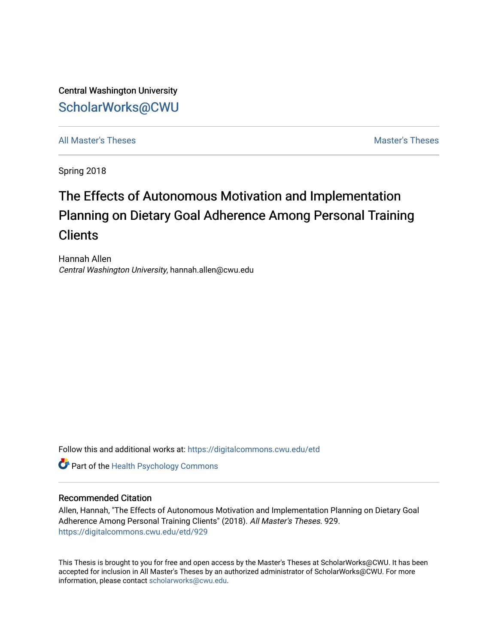Central Washington University [ScholarWorks@CWU](https://digitalcommons.cwu.edu/) 

[All Master's Theses](https://digitalcommons.cwu.edu/etd) and the set of the set of the set of the set of the set of the set of the set of the set of the set of the set of the set of the set of the set of the set of the set of the set of the set of the set of

Spring 2018

# The Effects of Autonomous Motivation and Implementation Planning on Dietary Goal Adherence Among Personal Training **Clients**

Hannah Allen Central Washington University, hannah.allen@cwu.edu

Follow this and additional works at: [https://digitalcommons.cwu.edu/etd](https://digitalcommons.cwu.edu/etd?utm_source=digitalcommons.cwu.edu%2Fetd%2F929&utm_medium=PDF&utm_campaign=PDFCoverPages) 

**Part of the [Health Psychology Commons](http://network.bepress.com/hgg/discipline/411?utm_source=digitalcommons.cwu.edu%2Fetd%2F929&utm_medium=PDF&utm_campaign=PDFCoverPages)** 

#### Recommended Citation

Allen, Hannah, "The Effects of Autonomous Motivation and Implementation Planning on Dietary Goal Adherence Among Personal Training Clients" (2018). All Master's Theses. 929. [https://digitalcommons.cwu.edu/etd/929](https://digitalcommons.cwu.edu/etd/929?utm_source=digitalcommons.cwu.edu%2Fetd%2F929&utm_medium=PDF&utm_campaign=PDFCoverPages) 

This Thesis is brought to you for free and open access by the Master's Theses at ScholarWorks@CWU. It has been accepted for inclusion in All Master's Theses by an authorized administrator of ScholarWorks@CWU. For more information, please contact [scholarworks@cwu.edu.](mailto:scholarworks@cwu.edu)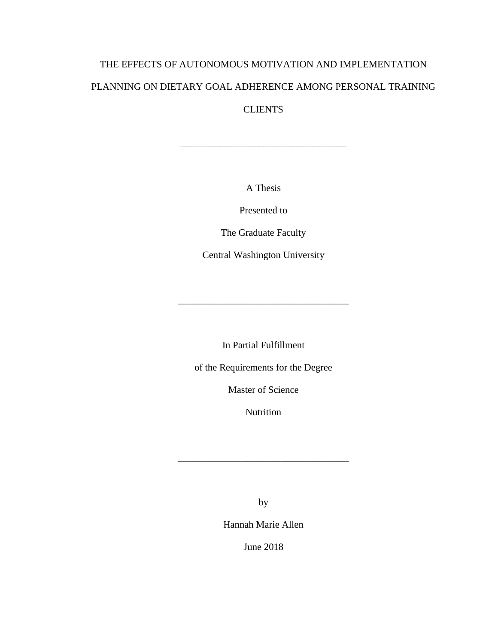# THE EFFECTS OF AUTONOMOUS MOTIVATION AND IMPLEMENTATION PLANNING ON DIETARY GOAL ADHERENCE AMONG PERSONAL TRAINING **CLIENTS**

A Thesis

\_\_\_\_\_\_\_\_\_\_\_\_\_\_\_\_\_\_\_\_\_\_\_\_\_\_\_\_\_\_\_\_\_\_

Presented to

The Graduate Faculty

Central Washington University

In Partial Fulfillment

\_\_\_\_\_\_\_\_\_\_\_\_\_\_\_\_\_\_\_\_\_\_\_\_\_\_\_\_\_\_\_\_\_\_\_

of the Requirements for the Degree

Master of Science

Nutrition

\_\_\_\_\_\_\_\_\_\_\_\_\_\_\_\_\_\_\_\_\_\_\_\_\_\_\_\_\_\_\_\_\_\_\_

by

Hannah Marie Allen

June 2018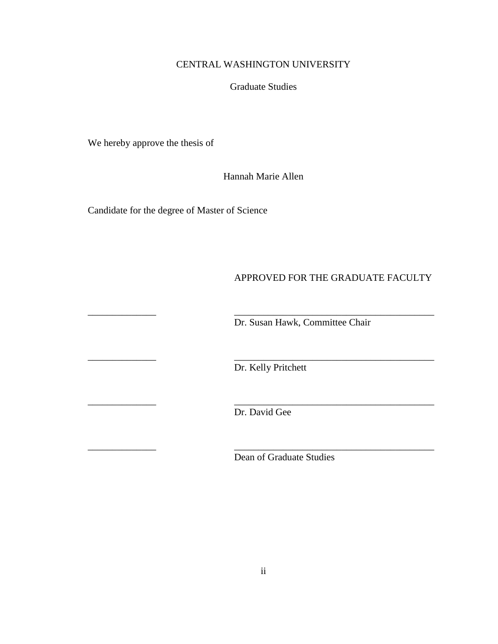# CENTRAL WASHINGTON UNIVERSITY

## Graduate Studies

We hereby approve the thesis of

Hannah Marie Allen

Candidate for the degree of Master of Science

# APPROVED FOR THE GRADUATE FACULTY

Dr. Susan Hawk, Committee Chair

Dr. Kelly Pritchett

\_\_\_\_\_\_\_\_\_\_\_\_\_\_ \_\_\_\_\_\_\_\_\_\_\_\_\_\_\_\_\_\_\_\_\_\_\_\_\_\_\_\_\_\_\_\_\_\_\_\_\_\_\_\_\_

\_\_\_\_\_\_\_\_\_\_\_\_\_\_ \_\_\_\_\_\_\_\_\_\_\_\_\_\_\_\_\_\_\_\_\_\_\_\_\_\_\_\_\_\_\_\_\_\_\_\_\_\_\_\_\_

\_\_\_\_\_\_\_\_\_\_\_\_\_\_ \_\_\_\_\_\_\_\_\_\_\_\_\_\_\_\_\_\_\_\_\_\_\_\_\_\_\_\_\_\_\_\_\_\_\_\_\_\_\_\_\_ Dr. David Gee

\_\_\_\_\_\_\_\_\_\_\_\_\_\_ \_\_\_\_\_\_\_\_\_\_\_\_\_\_\_\_\_\_\_\_\_\_\_\_\_\_\_\_\_\_\_\_\_\_\_\_\_\_\_\_\_

Dean of Graduate Studies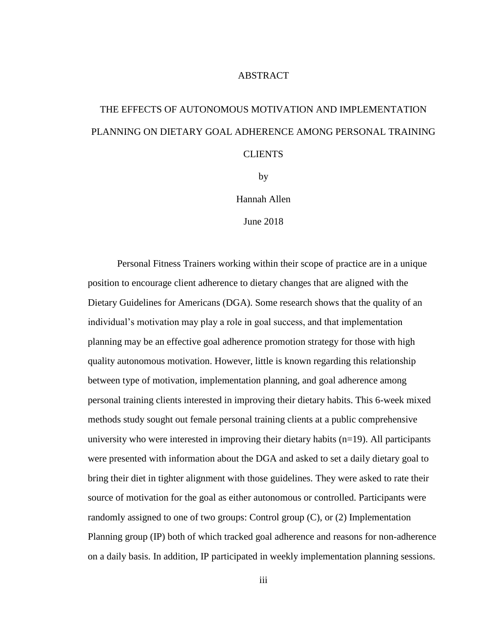### **ABSTRACT**

# THE EFFECTS OF AUTONOMOUS MOTIVATION AND IMPLEMENTATION PLANNING ON DIETARY GOAL ADHERENCE AMONG PERSONAL TRAINING CLIENTS

by

Hannah Allen

June 2018

Personal Fitness Trainers working within their scope of practice are in a unique position to encourage client adherence to dietary changes that are aligned with the Dietary Guidelines for Americans (DGA). Some research shows that the quality of an individual's motivation may play a role in goal success, and that implementation planning may be an effective goal adherence promotion strategy for those with high quality autonomous motivation. However, little is known regarding this relationship between type of motivation, implementation planning, and goal adherence among personal training clients interested in improving their dietary habits. This 6-week mixed methods study sought out female personal training clients at a public comprehensive university who were interested in improving their dietary habits (n=19). All participants were presented with information about the DGA and asked to set a daily dietary goal to bring their diet in tighter alignment with those guidelines. They were asked to rate their source of motivation for the goal as either autonomous or controlled. Participants were randomly assigned to one of two groups: Control group (C), or (2) Implementation Planning group (IP) both of which tracked goal adherence and reasons for non-adherence on a daily basis. In addition, IP participated in weekly implementation planning sessions.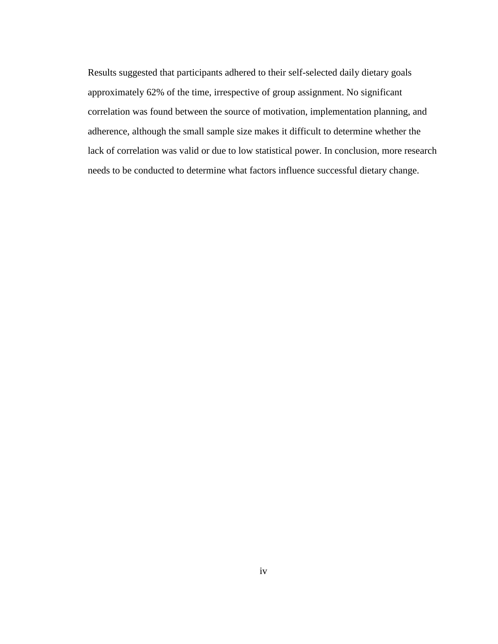Results suggested that participants adhered to their self-selected daily dietary goals approximately 62% of the time, irrespective of group assignment. No significant correlation was found between the source of motivation, implementation planning, and adherence, although the small sample size makes it difficult to determine whether the lack of correlation was valid or due to low statistical power. In conclusion, more research needs to be conducted to determine what factors influence successful dietary change.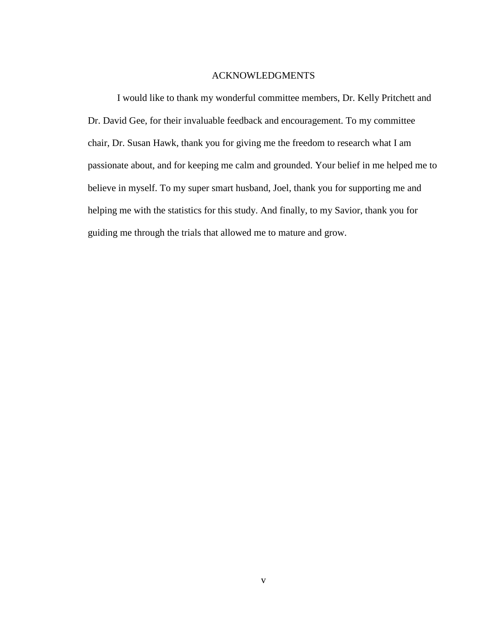#### ACKNOWLEDGMENTS

I would like to thank my wonderful committee members, Dr. Kelly Pritchett and Dr. David Gee, for their invaluable feedback and encouragement. To my committee chair, Dr. Susan Hawk, thank you for giving me the freedom to research what I am passionate about, and for keeping me calm and grounded. Your belief in me helped me to believe in myself. To my super smart husband, Joel, thank you for supporting me and helping me with the statistics for this study. And finally, to my Savior, thank you for guiding me through the trials that allowed me to mature and grow.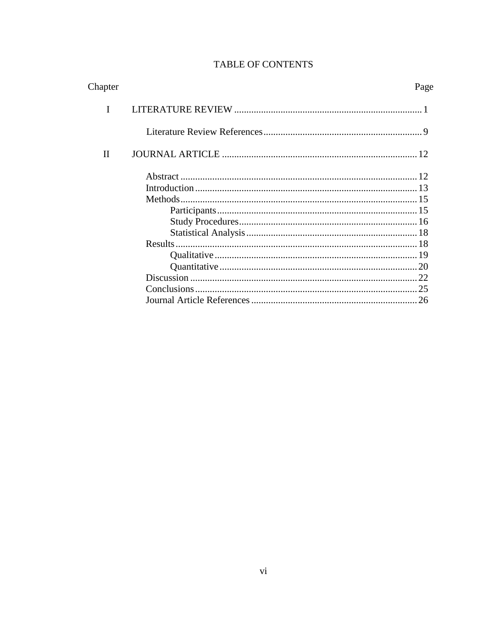| Chapter     | Page |
|-------------|------|
|             |      |
|             |      |
| $_{\rm II}$ |      |
|             |      |
|             |      |
|             |      |
|             |      |
|             |      |
|             |      |
|             |      |
|             |      |
|             |      |
|             |      |
|             |      |
|             |      |

# TABLE OF CONTENTS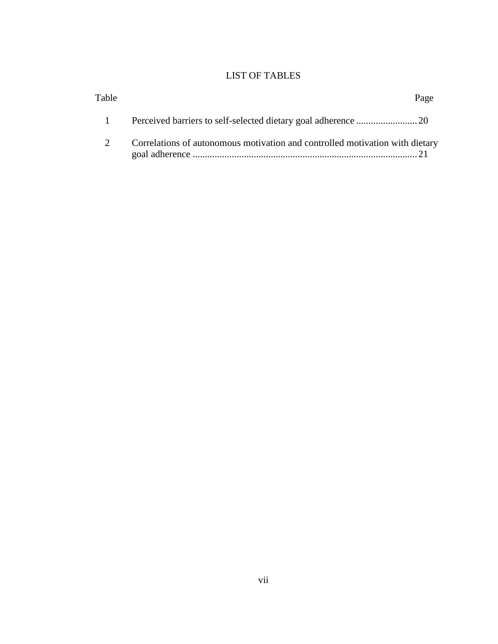# LIST OF TABLES

| Table |                                                                              | Page |
|-------|------------------------------------------------------------------------------|------|
|       |                                                                              |      |
|       | Correlations of autonomous motivation and controlled motivation with dietary |      |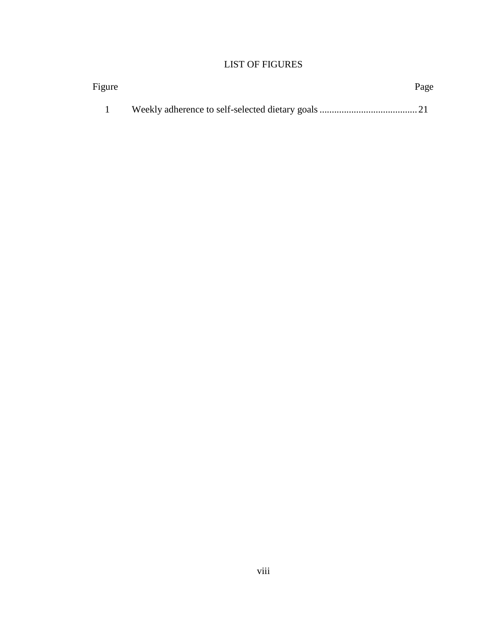# LIST OF FIGURES

| Figure | Page |
|--------|------|
|        |      |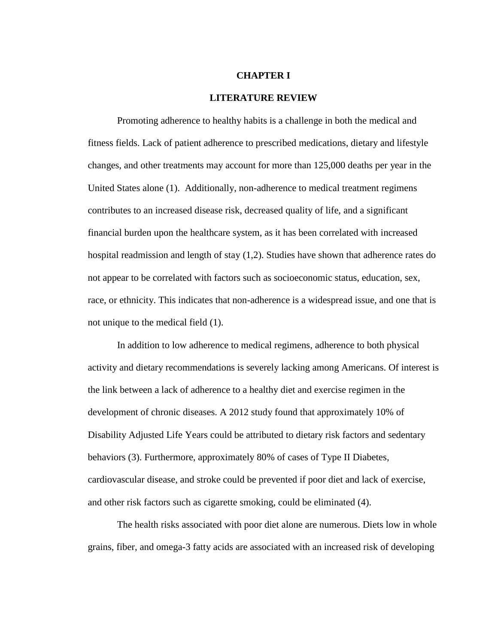#### **CHAPTER I**

#### **LITERATURE REVIEW**

Promoting adherence to healthy habits is a challenge in both the medical and fitness fields. Lack of patient adherence to prescribed medications, dietary and lifestyle changes, and other treatments may account for more than 125,000 deaths per year in the United States alone (1). Additionally, non-adherence to medical treatment regimens contributes to an increased disease risk, decreased quality of life, and a significant financial burden upon the healthcare system, as it has been correlated with increased hospital readmission and length of stay (1,2). Studies have shown that adherence rates do not appear to be correlated with factors such as socioeconomic status, education, sex, race, or ethnicity. This indicates that non-adherence is a widespread issue, and one that is not unique to the medical field (1).

In addition to low adherence to medical regimens, adherence to both physical activity and dietary recommendations is severely lacking among Americans. Of interest is the link between a lack of adherence to a healthy diet and exercise regimen in the development of chronic diseases. A 2012 study found that approximately 10% of Disability Adjusted Life Years could be attributed to dietary risk factors and sedentary behaviors (3). Furthermore, approximately 80% of cases of Type II Diabetes, cardiovascular disease, and stroke could be prevented if poor diet and lack of exercise, and other risk factors such as cigarette smoking, could be eliminated (4).

The health risks associated with poor diet alone are numerous. Diets low in whole grains, fiber, and omega-3 fatty acids are associated with an increased risk of developing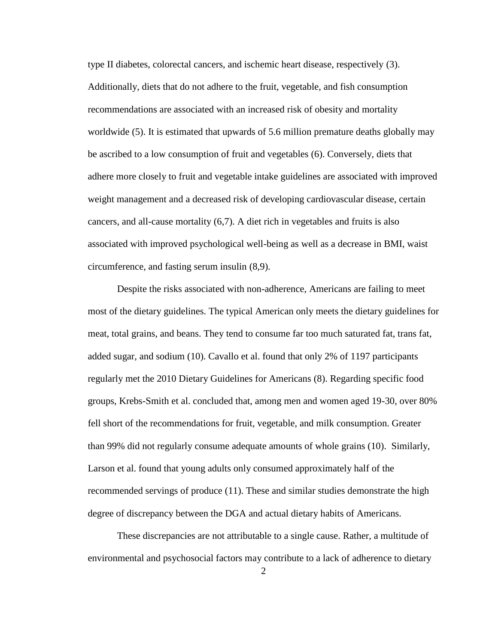type II diabetes, colorectal cancers, and ischemic heart disease, respectively (3). Additionally, diets that do not adhere to the fruit, vegetable, and fish consumption recommendations are associated with an increased risk of obesity and mortality worldwide (5). It is estimated that upwards of 5.6 million premature deaths globally may be ascribed to a low consumption of fruit and vegetables (6). Conversely, diets that adhere more closely to fruit and vegetable intake guidelines are associated with improved weight management and a decreased risk of developing cardiovascular disease, certain cancers, and all-cause mortality (6,7). A diet rich in vegetables and fruits is also associated with improved psychological well-being as well as a decrease in BMI, waist circumference, and fasting serum insulin (8,9).

Despite the risks associated with non-adherence, Americans are failing to meet most of the dietary guidelines. The typical American only meets the dietary guidelines for meat, total grains, and beans. They tend to consume far too much saturated fat, trans fat, added sugar, and sodium (10). Cavallo et al. found that only 2% of 1197 participants regularly met the 2010 Dietary Guidelines for Americans (8). Regarding specific food groups, Krebs-Smith et al. concluded that, among men and women aged 19-30, over 80% fell short of the recommendations for fruit, vegetable, and milk consumption. Greater than 99% did not regularly consume adequate amounts of whole grains (10). Similarly, Larson et al. found that young adults only consumed approximately half of the recommended servings of produce (11). These and similar studies demonstrate the high degree of discrepancy between the DGA and actual dietary habits of Americans.

These discrepancies are not attributable to a single cause. Rather, a multitude of environmental and psychosocial factors may contribute to a lack of adherence to dietary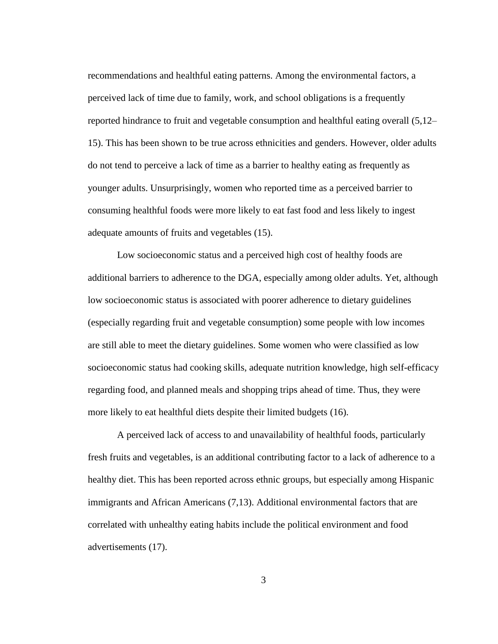recommendations and healthful eating patterns. Among the environmental factors, a perceived lack of time due to family, work, and school obligations is a frequently reported hindrance to fruit and vegetable consumption and healthful eating overall (5,12– 15). This has been shown to be true across ethnicities and genders. However, older adults do not tend to perceive a lack of time as a barrier to healthy eating as frequently as younger adults. Unsurprisingly, women who reported time as a perceived barrier to consuming healthful foods were more likely to eat fast food and less likely to ingest adequate amounts of fruits and vegetables (15).

Low socioeconomic status and a perceived high cost of healthy foods are additional barriers to adherence to the DGA, especially among older adults. Yet, although low socioeconomic status is associated with poorer adherence to dietary guidelines (especially regarding fruit and vegetable consumption) some people with low incomes are still able to meet the dietary guidelines. Some women who were classified as low socioeconomic status had cooking skills, adequate nutrition knowledge, high self-efficacy regarding food, and planned meals and shopping trips ahead of time. Thus, they were more likely to eat healthful diets despite their limited budgets (16).

A perceived lack of access to and unavailability of healthful foods, particularly fresh fruits and vegetables, is an additional contributing factor to a lack of adherence to a healthy diet. This has been reported across ethnic groups, but especially among Hispanic immigrants and African Americans (7,13). Additional environmental factors that are correlated with unhealthy eating habits include the political environment and food advertisements (17).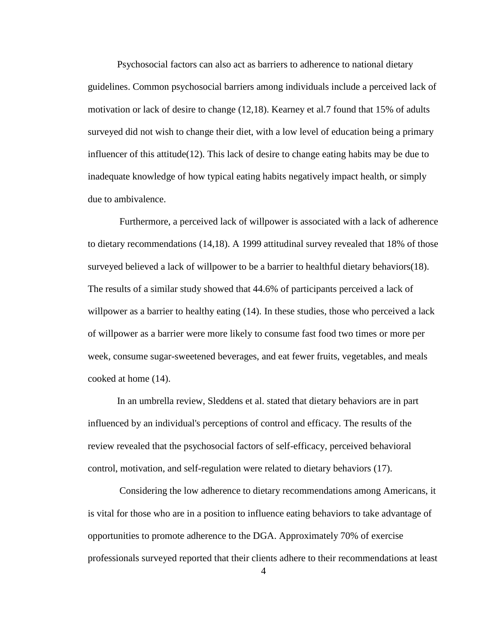Psychosocial factors can also act as barriers to adherence to national dietary guidelines. Common psychosocial barriers among individuals include a perceived lack of motivation or lack of desire to change (12,18). Kearney et al.7 found that 15% of adults surveyed did not wish to change their diet, with a low level of education being a primary influencer of this attitude(12). This lack of desire to change eating habits may be due to inadequate knowledge of how typical eating habits negatively impact health, or simply due to ambivalence.

Furthermore, a perceived lack of willpower is associated with a lack of adherence to dietary recommendations (14,18). A 1999 attitudinal survey revealed that 18% of those surveyed believed a lack of willpower to be a barrier to healthful dietary behaviors(18). The results of a similar study showed that 44.6% of participants perceived a lack of willpower as a barrier to healthy eating  $(14)$ . In these studies, those who perceived a lack of willpower as a barrier were more likely to consume fast food two times or more per week, consume sugar-sweetened beverages, and eat fewer fruits, vegetables, and meals cooked at home (14).

In an umbrella review, Sleddens et al. stated that dietary behaviors are in part influenced by an individual's perceptions of control and efficacy. The results of the review revealed that the psychosocial factors of self-efficacy, perceived behavioral control, motivation, and self-regulation were related to dietary behaviors (17).

Considering the low adherence to dietary recommendations among Americans, it is vital for those who are in a position to influence eating behaviors to take advantage of opportunities to promote adherence to the DGA. Approximately 70% of exercise professionals surveyed reported that their clients adhere to their recommendations at least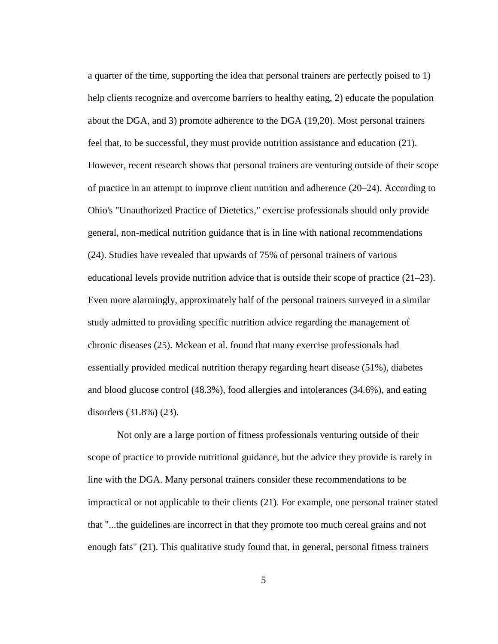a quarter of the time, supporting the idea that personal trainers are perfectly poised to 1) help clients recognize and overcome barriers to healthy eating, 2) educate the population about the DGA, and 3) promote adherence to the DGA (19,20). Most personal trainers feel that, to be successful, they must provide nutrition assistance and education (21). However, recent research shows that personal trainers are venturing outside of their scope of practice in an attempt to improve client nutrition and adherence (20–24). According to Ohio's "Unauthorized Practice of Dietetics," exercise professionals should only provide general, non-medical nutrition guidance that is in line with national recommendations (24). Studies have revealed that upwards of 75% of personal trainers of various educational levels provide nutrition advice that is outside their scope of practice (21–23). Even more alarmingly, approximately half of the personal trainers surveyed in a similar study admitted to providing specific nutrition advice regarding the management of chronic diseases (25). Mckean et al. found that many exercise professionals had essentially provided medical nutrition therapy regarding heart disease (51%), diabetes and blood glucose control (48.3%), food allergies and intolerances (34.6%), and eating disorders (31.8%) (23).

Not only are a large portion of fitness professionals venturing outside of their scope of practice to provide nutritional guidance, but the advice they provide is rarely in line with the DGA. Many personal trainers consider these recommendations to be impractical or not applicable to their clients (21). For example, one personal trainer stated that "...the guidelines are incorrect in that they promote too much cereal grains and not enough fats" (21). This qualitative study found that, in general, personal fitness trainers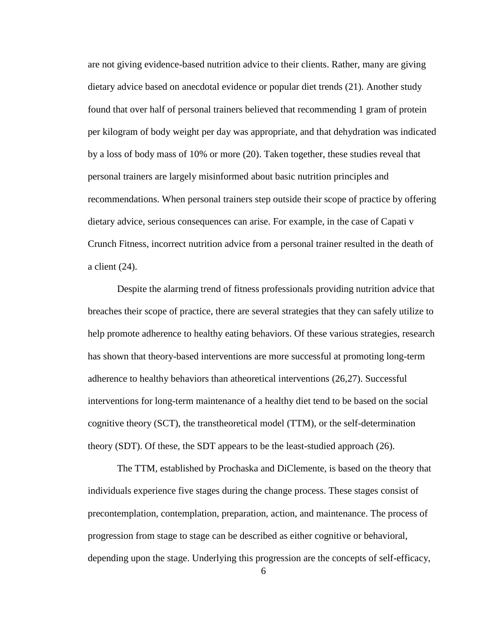are not giving evidence-based nutrition advice to their clients. Rather, many are giving dietary advice based on anecdotal evidence or popular diet trends (21). Another study found that over half of personal trainers believed that recommending 1 gram of protein per kilogram of body weight per day was appropriate, and that dehydration was indicated by a loss of body mass of 10% or more (20). Taken together, these studies reveal that personal trainers are largely misinformed about basic nutrition principles and recommendations. When personal trainers step outside their scope of practice by offering dietary advice, serious consequences can arise. For example, in the case of Capati v Crunch Fitness, incorrect nutrition advice from a personal trainer resulted in the death of a client (24).

Despite the alarming trend of fitness professionals providing nutrition advice that breaches their scope of practice, there are several strategies that they can safely utilize to help promote adherence to healthy eating behaviors. Of these various strategies, research has shown that theory-based interventions are more successful at promoting long-term adherence to healthy behaviors than atheoretical interventions (26,27). Successful interventions for long-term maintenance of a healthy diet tend to be based on the social cognitive theory (SCT), the transtheoretical model (TTM), or the self-determination theory (SDT). Of these, the SDT appears to be the least-studied approach (26).

The TTM, established by Prochaska and DiClemente, is based on the theory that individuals experience five stages during the change process. These stages consist of precontemplation, contemplation, preparation, action, and maintenance. The process of progression from stage to stage can be described as either cognitive or behavioral, depending upon the stage. Underlying this progression are the concepts of self-efficacy,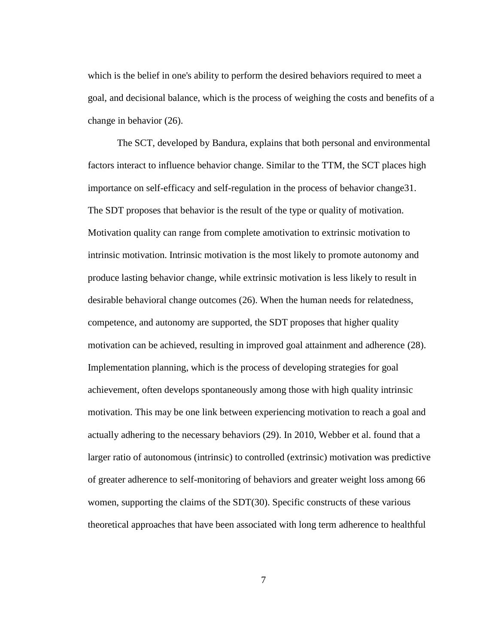which is the belief in one's ability to perform the desired behaviors required to meet a goal, and decisional balance, which is the process of weighing the costs and benefits of a change in behavior (26).

The SCT, developed by Bandura, explains that both personal and environmental factors interact to influence behavior change. Similar to the TTM, the SCT places high importance on self-efficacy and self-regulation in the process of behavior change31. The SDT proposes that behavior is the result of the type or quality of motivation. Motivation quality can range from complete amotivation to extrinsic motivation to intrinsic motivation. Intrinsic motivation is the most likely to promote autonomy and produce lasting behavior change, while extrinsic motivation is less likely to result in desirable behavioral change outcomes (26). When the human needs for relatedness, competence, and autonomy are supported, the SDT proposes that higher quality motivation can be achieved, resulting in improved goal attainment and adherence (28). Implementation planning, which is the process of developing strategies for goal achievement, often develops spontaneously among those with high quality intrinsic motivation. This may be one link between experiencing motivation to reach a goal and actually adhering to the necessary behaviors (29). In 2010, Webber et al. found that a larger ratio of autonomous (intrinsic) to controlled (extrinsic) motivation was predictive of greater adherence to self-monitoring of behaviors and greater weight loss among 66 women, supporting the claims of the SDT(30). Specific constructs of these various theoretical approaches that have been associated with long term adherence to healthful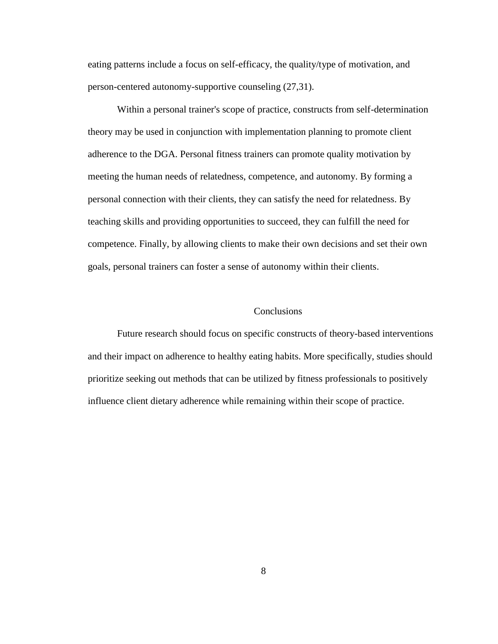eating patterns include a focus on self-efficacy, the quality/type of motivation, and person-centered autonomy-supportive counseling (27,31).

Within a personal trainer's scope of practice, constructs from self-determination theory may be used in conjunction with implementation planning to promote client adherence to the DGA. Personal fitness trainers can promote quality motivation by meeting the human needs of relatedness, competence, and autonomy. By forming a personal connection with their clients, they can satisfy the need for relatedness. By teaching skills and providing opportunities to succeed, they can fulfill the need for competence. Finally, by allowing clients to make their own decisions and set their own goals, personal trainers can foster a sense of autonomy within their clients.

#### **Conclusions**

Future research should focus on specific constructs of theory-based interventions and their impact on adherence to healthy eating habits. More specifically, studies should prioritize seeking out methods that can be utilized by fitness professionals to positively influence client dietary adherence while remaining within their scope of practice.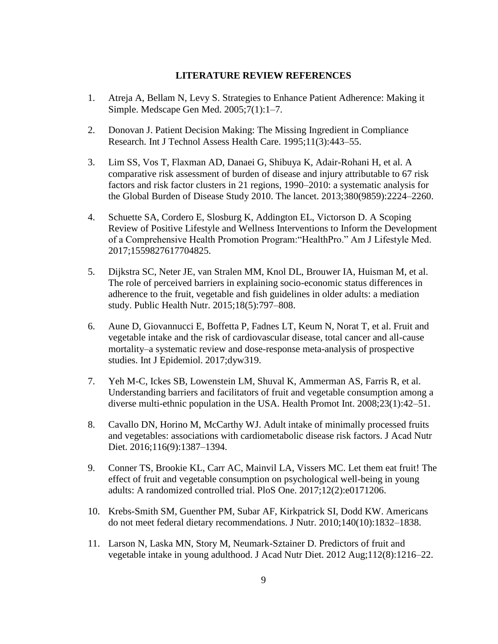### **LITERATURE REVIEW REFERENCES**

- 1. Atreja A, Bellam N, Levy S. Strategies to Enhance Patient Adherence: Making it Simple. Medscape Gen Med. 2005;7(1):1–7.
- 2. Donovan J. Patient Decision Making: The Missing Ingredient in Compliance Research. Int J Technol Assess Health Care. 1995;11(3):443–55.
- 3. Lim SS, Vos T, Flaxman AD, Danaei G, Shibuya K, Adair-Rohani H, et al. A comparative risk assessment of burden of disease and injury attributable to 67 risk factors and risk factor clusters in 21 regions, 1990–2010: a systematic analysis for the Global Burden of Disease Study 2010. The lancet. 2013;380(9859):2224–2260.
- 4. Schuette SA, Cordero E, Slosburg K, Addington EL, Victorson D. A Scoping Review of Positive Lifestyle and Wellness Interventions to Inform the Development of a Comprehensive Health Promotion Program:"HealthPro." Am J Lifestyle Med. 2017;1559827617704825.
- 5. Dijkstra SC, Neter JE, van Stralen MM, Knol DL, Brouwer IA, Huisman M, et al. The role of perceived barriers in explaining socio-economic status differences in adherence to the fruit, vegetable and fish guidelines in older adults: a mediation study. Public Health Nutr. 2015;18(5):797–808.
- 6. Aune D, Giovannucci E, Boffetta P, Fadnes LT, Keum N, Norat T, et al. Fruit and vegetable intake and the risk of cardiovascular disease, total cancer and all-cause mortality–a systematic review and dose-response meta-analysis of prospective studies. Int J Epidemiol. 2017;dyw319.
- 7. Yeh M-C, Ickes SB, Lowenstein LM, Shuval K, Ammerman AS, Farris R, et al. Understanding barriers and facilitators of fruit and vegetable consumption among a diverse multi-ethnic population in the USA. Health Promot Int. 2008;23(1):42–51.
- 8. Cavallo DN, Horino M, McCarthy WJ. Adult intake of minimally processed fruits and vegetables: associations with cardiometabolic disease risk factors. J Acad Nutr Diet. 2016;116(9):1387–1394.
- 9. Conner TS, Brookie KL, Carr AC, Mainvil LA, Vissers MC. Let them eat fruit! The effect of fruit and vegetable consumption on psychological well-being in young adults: A randomized controlled trial. PloS One. 2017;12(2):e0171206.
- 10. Krebs-Smith SM, Guenther PM, Subar AF, Kirkpatrick SI, Dodd KW. Americans do not meet federal dietary recommendations. J Nutr. 2010;140(10):1832–1838.
- 11. Larson N, Laska MN, Story M, Neumark-Sztainer D. Predictors of fruit and vegetable intake in young adulthood. J Acad Nutr Diet. 2012 Aug;112(8):1216–22.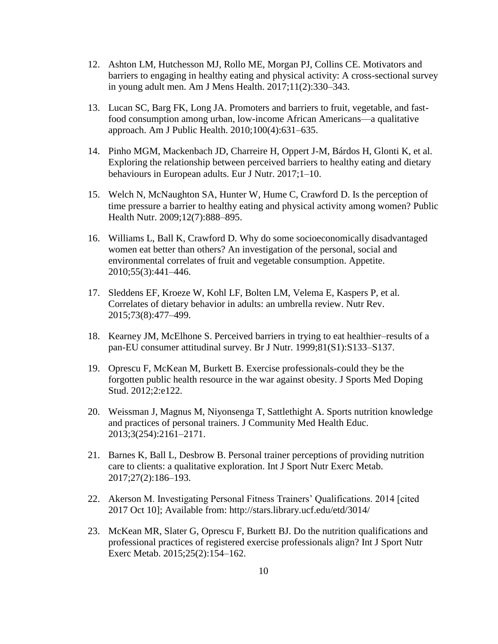- 12. Ashton LM, Hutchesson MJ, Rollo ME, Morgan PJ, Collins CE. Motivators and barriers to engaging in healthy eating and physical activity: A cross-sectional survey in young adult men. Am J Mens Health. 2017;11(2):330–343.
- 13. Lucan SC, Barg FK, Long JA. Promoters and barriers to fruit, vegetable, and fastfood consumption among urban, low-income African Americans—a qualitative approach. Am J Public Health. 2010;100(4):631–635.
- 14. Pinho MGM, Mackenbach JD, Charreire H, Oppert J-M, Bárdos H, Glonti K, et al. Exploring the relationship between perceived barriers to healthy eating and dietary behaviours in European adults. Eur J Nutr. 2017;1–10.
- 15. Welch N, McNaughton SA, Hunter W, Hume C, Crawford D. Is the perception of time pressure a barrier to healthy eating and physical activity among women? Public Health Nutr. 2009;12(7):888–895.
- 16. Williams L, Ball K, Crawford D. Why do some socioeconomically disadvantaged women eat better than others? An investigation of the personal, social and environmental correlates of fruit and vegetable consumption. Appetite. 2010;55(3):441–446.
- 17. Sleddens EF, Kroeze W, Kohl LF, Bolten LM, Velema E, Kaspers P, et al. Correlates of dietary behavior in adults: an umbrella review. Nutr Rev. 2015;73(8):477–499.
- 18. Kearney JM, McElhone S. Perceived barriers in trying to eat healthier–results of a pan-EU consumer attitudinal survey. Br J Nutr. 1999;81(S1):S133–S137.
- 19. Oprescu F, McKean M, Burkett B. Exercise professionals-could they be the forgotten public health resource in the war against obesity. J Sports Med Doping Stud. 2012;2:e122.
- 20. Weissman J, Magnus M, Niyonsenga T, Sattlethight A. Sports nutrition knowledge and practices of personal trainers. J Community Med Health Educ. 2013;3(254):2161–2171.
- 21. Barnes K, Ball L, Desbrow B. Personal trainer perceptions of providing nutrition care to clients: a qualitative exploration. Int J Sport Nutr Exerc Metab. 2017;27(2):186–193.
- 22. Akerson M. Investigating Personal Fitness Trainers' Qualifications. 2014 [cited 2017 Oct 10]; Available from: http://stars.library.ucf.edu/etd/3014/
- 23. McKean MR, Slater G, Oprescu F, Burkett BJ. Do the nutrition qualifications and professional practices of registered exercise professionals align? Int J Sport Nutr Exerc Metab. 2015;25(2):154–162.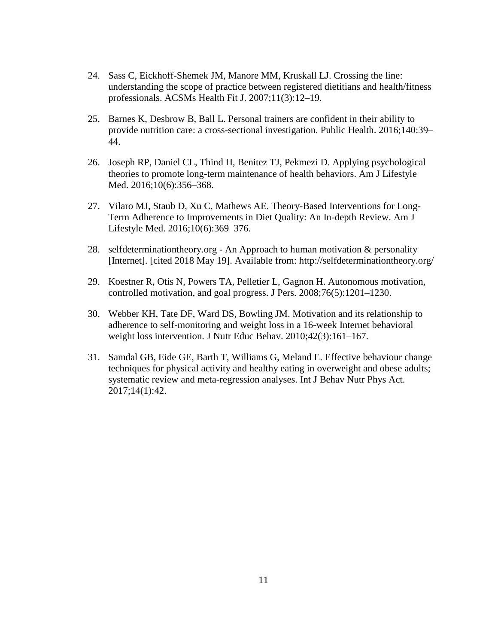- 24. Sass C, Eickhoff-Shemek JM, Manore MM, Kruskall LJ. Crossing the line: understanding the scope of practice between registered dietitians and health/fitness professionals. ACSMs Health Fit J. 2007;11(3):12–19.
- 25. Barnes K, Desbrow B, Ball L. Personal trainers are confident in their ability to provide nutrition care: a cross-sectional investigation. Public Health. 2016;140:39– 44.
- 26. Joseph RP, Daniel CL, Thind H, Benitez TJ, Pekmezi D. Applying psychological theories to promote long-term maintenance of health behaviors. Am J Lifestyle Med. 2016;10(6):356-368.
- 27. Vilaro MJ, Staub D, Xu C, Mathews AE. Theory-Based Interventions for Long-Term Adherence to Improvements in Diet Quality: An In-depth Review. Am J Lifestyle Med. 2016;10(6):369–376.
- 28. selfdeterminationtheory.org An Approach to human motivation & personality [Internet]. [cited 2018 May 19]. Available from: http://selfdeterminationtheory.org/
- 29. Koestner R, Otis N, Powers TA, Pelletier L, Gagnon H. Autonomous motivation, controlled motivation, and goal progress. J Pers. 2008;76(5):1201–1230.
- 30. Webber KH, Tate DF, Ward DS, Bowling JM. Motivation and its relationship to adherence to self-monitoring and weight loss in a 16-week Internet behavioral weight loss intervention. J Nutr Educ Behav. 2010;42(3):161–167.
- 31. Samdal GB, Eide GE, Barth T, Williams G, Meland E. Effective behaviour change techniques for physical activity and healthy eating in overweight and obese adults; systematic review and meta-regression analyses. Int J Behav Nutr Phys Act. 2017;14(1):42.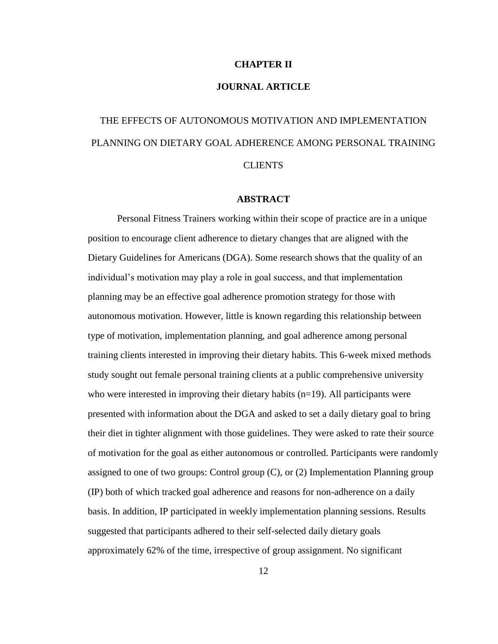### **CHAPTER II**

## **JOURNAL ARTICLE**

# THE EFFECTS OF AUTONOMOUS MOTIVATION AND IMPLEMENTATION PLANNING ON DIETARY GOAL ADHERENCE AMONG PERSONAL TRAINING CLIENTS

#### **ABSTRACT**

Personal Fitness Trainers working within their scope of practice are in a unique position to encourage client adherence to dietary changes that are aligned with the Dietary Guidelines for Americans (DGA). Some research shows that the quality of an individual's motivation may play a role in goal success, and that implementation planning may be an effective goal adherence promotion strategy for those with autonomous motivation. However, little is known regarding this relationship between type of motivation, implementation planning, and goal adherence among personal training clients interested in improving their dietary habits. This 6-week mixed methods study sought out female personal training clients at a public comprehensive university who were interested in improving their dietary habits (n=19). All participants were presented with information about the DGA and asked to set a daily dietary goal to bring their diet in tighter alignment with those guidelines. They were asked to rate their source of motivation for the goal as either autonomous or controlled. Participants were randomly assigned to one of two groups: Control group (C), or (2) Implementation Planning group (IP) both of which tracked goal adherence and reasons for non-adherence on a daily basis. In addition, IP participated in weekly implementation planning sessions. Results suggested that participants adhered to their self-selected daily dietary goals approximately 62% of the time, irrespective of group assignment. No significant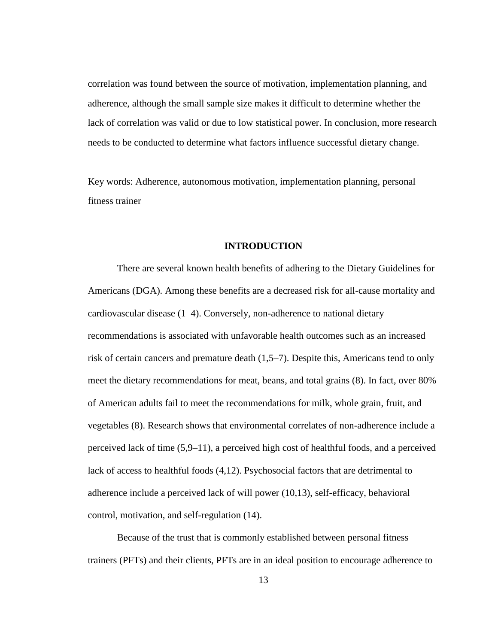correlation was found between the source of motivation, implementation planning, and adherence, although the small sample size makes it difficult to determine whether the lack of correlation was valid or due to low statistical power. In conclusion, more research needs to be conducted to determine what factors influence successful dietary change.

Key words: Adherence, autonomous motivation, implementation planning, personal fitness trainer

## **INTRODUCTION**

There are several known health benefits of adhering to the Dietary Guidelines for Americans (DGA). Among these benefits are a decreased risk for all-cause mortality and cardiovascular disease (1–4). Conversely, non-adherence to national dietary recommendations is associated with unfavorable health outcomes such as an increased risk of certain cancers and premature death (1,5–7). Despite this, Americans tend to only meet the dietary recommendations for meat, beans, and total grains (8). In fact, over 80% of American adults fail to meet the recommendations for milk, whole grain, fruit, and vegetables (8). Research shows that environmental correlates of non-adherence include a perceived lack of time (5,9–11), a perceived high cost of healthful foods, and a perceived lack of access to healthful foods (4,12). Psychosocial factors that are detrimental to adherence include a perceived lack of will power (10,13), self-efficacy, behavioral control, motivation, and self-regulation (14).

Because of the trust that is commonly established between personal fitness trainers (PFTs) and their clients, PFTs are in an ideal position to encourage adherence to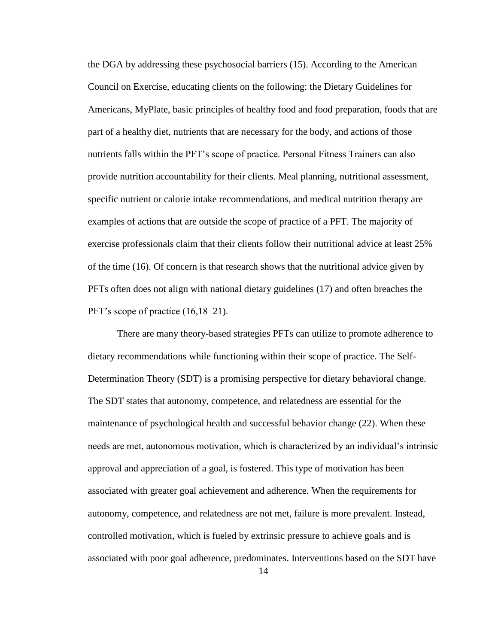the DGA by addressing these psychosocial barriers (15). According to the American Council on Exercise, educating clients on the following: the Dietary Guidelines for Americans, MyPlate, basic principles of healthy food and food preparation, foods that are part of a healthy diet, nutrients that are necessary for the body, and actions of those nutrients falls within the PFT's scope of practice. Personal Fitness Trainers can also provide nutrition accountability for their clients. Meal planning, nutritional assessment, specific nutrient or calorie intake recommendations, and medical nutrition therapy are examples of actions that are outside the scope of practice of a PFT. The majority of exercise professionals claim that their clients follow their nutritional advice at least 25% of the time (16). Of concern is that research shows that the nutritional advice given by PFTs often does not align with national dietary guidelines (17) and often breaches the PFT's scope of practice (16,18–21).

There are many theory-based strategies PFTs can utilize to promote adherence to dietary recommendations while functioning within their scope of practice. The Self-Determination Theory (SDT) is a promising perspective for dietary behavioral change. The SDT states that autonomy, competence, and relatedness are essential for the maintenance of psychological health and successful behavior change (22). When these needs are met, autonomous motivation, which is characterized by an individual's intrinsic approval and appreciation of a goal, is fostered. This type of motivation has been associated with greater goal achievement and adherence. When the requirements for autonomy, competence, and relatedness are not met, failure is more prevalent. Instead, controlled motivation, which is fueled by extrinsic pressure to achieve goals and is associated with poor goal adherence, predominates. Interventions based on the SDT have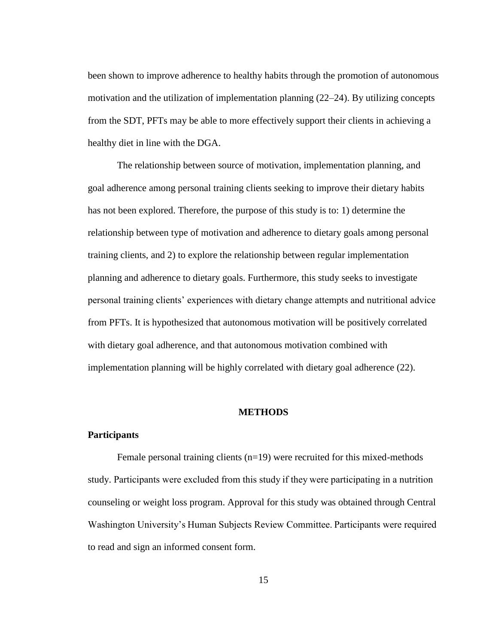been shown to improve adherence to healthy habits through the promotion of autonomous motivation and the utilization of implementation planning (22–24). By utilizing concepts from the SDT, PFTs may be able to more effectively support their clients in achieving a healthy diet in line with the DGA.

The relationship between source of motivation, implementation planning, and goal adherence among personal training clients seeking to improve their dietary habits has not been explored. Therefore, the purpose of this study is to: 1) determine the relationship between type of motivation and adherence to dietary goals among personal training clients, and 2) to explore the relationship between regular implementation planning and adherence to dietary goals. Furthermore, this study seeks to investigate personal training clients' experiences with dietary change attempts and nutritional advice from PFTs. It is hypothesized that autonomous motivation will be positively correlated with dietary goal adherence, and that autonomous motivation combined with implementation planning will be highly correlated with dietary goal adherence (22).

#### **METHODS**

#### **Participants**

Female personal training clients  $(n=19)$  were recruited for this mixed-methods study. Participants were excluded from this study if they were participating in a nutrition counseling or weight loss program. Approval for this study was obtained through Central Washington University's Human Subjects Review Committee. Participants were required to read and sign an informed consent form.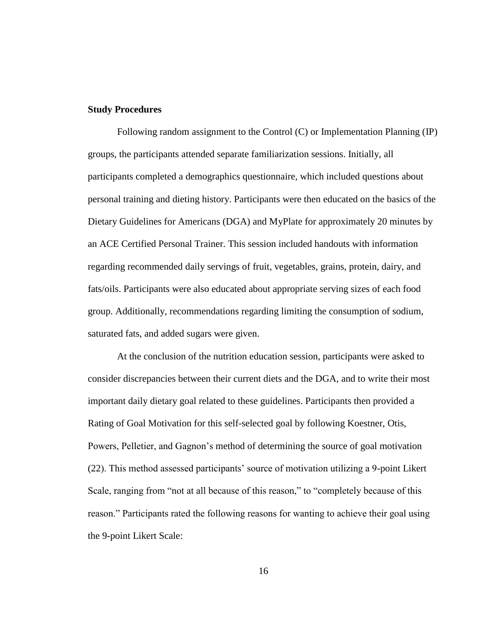#### **Study Procedures**

Following random assignment to the Control (C) or Implementation Planning (IP) groups, the participants attended separate familiarization sessions. Initially, all participants completed a demographics questionnaire, which included questions about personal training and dieting history. Participants were then educated on the basics of the Dietary Guidelines for Americans (DGA) and MyPlate for approximately 20 minutes by an ACE Certified Personal Trainer. This session included handouts with information regarding recommended daily servings of fruit, vegetables, grains, protein, dairy, and fats/oils. Participants were also educated about appropriate serving sizes of each food group. Additionally, recommendations regarding limiting the consumption of sodium, saturated fats, and added sugars were given.

At the conclusion of the nutrition education session, participants were asked to consider discrepancies between their current diets and the DGA, and to write their most important daily dietary goal related to these guidelines. Participants then provided a Rating of Goal Motivation for this self-selected goal by following Koestner, Otis, Powers, Pelletier, and Gagnon's method of determining the source of goal motivation (22). This method assessed participants' source of motivation utilizing a 9-point Likert Scale, ranging from "not at all because of this reason," to "completely because of this reason." Participants rated the following reasons for wanting to achieve their goal using the 9-point Likert Scale: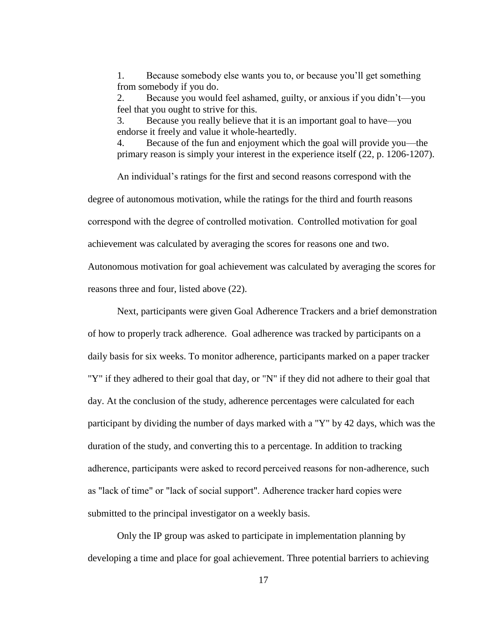1. Because somebody else wants you to, or because you'll get something from somebody if you do.

2. Because you would feel ashamed, guilty, or anxious if you didn't—you feel that you ought to strive for this.

3. Because you really believe that it is an important goal to have—you endorse it freely and value it whole-heartedly.

4. Because of the fun and enjoyment which the goal will provide you—the primary reason is simply your interest in the experience itself (22, p. 1206-1207).

An individual's ratings for the first and second reasons correspond with the

degree of autonomous motivation, while the ratings for the third and fourth reasons

correspond with the degree of controlled motivation.  Controlled motivation for goal

achievement was calculated by averaging the scores for reasons one and two.

Autonomous motivation for goal achievement was calculated by averaging the scores for reasons three and four, listed above (22).

Next, participants were given Goal Adherence Trackers and a brief demonstration of how to properly track adherence. Goal adherence was tracked by participants on a daily basis for six weeks. To monitor adherence, participants marked on a paper tracker "Y" if they adhered to their goal that day, or "N" if they did not adhere to their goal that day. At the conclusion of the study, adherence percentages were calculated for each participant by dividing the number of days marked with a "Y" by 42 days, which was the duration of the study, and converting this to a percentage. In addition to tracking adherence, participants were asked to record perceived reasons for non-adherence, such as "lack of time" or "lack of social support". Adherence tracker hard copies were submitted to the principal investigator on a weekly basis.

Only the IP group was asked to participate in implementation planning by developing a time and place for goal achievement. Three potential barriers to achieving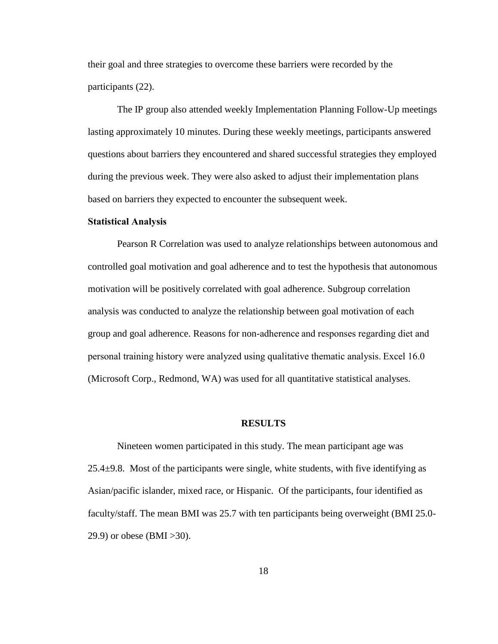their goal and three strategies to overcome these barriers were recorded by the participants (22).

The IP group also attended weekly Implementation Planning Follow-Up meetings lasting approximately 10 minutes. During these weekly meetings, participants answered questions about barriers they encountered and shared successful strategies they employed during the previous week. They were also asked to adjust their implementation plans based on barriers they expected to encounter the subsequent week.

#### **Statistical Analysis**

Pearson R Correlation was used to analyze relationships between autonomous and controlled goal motivation and goal adherence and to test the hypothesis that autonomous motivation will be positively correlated with goal adherence. Subgroup correlation analysis was conducted to analyze the relationship between goal motivation of each group and goal adherence. Reasons for non-adherence and responses regarding diet and personal training history were analyzed using qualitative thematic analysis. Excel 16.0 (Microsoft Corp., Redmond, WA) was used for all quantitative statistical analyses.

#### **RESULTS**

Nineteen women participated in this study. The mean participant age was  $25.4\pm9.8$ . Most of the participants were single, white students, with five identifying as Asian/pacific islander, mixed race, or Hispanic. Of the participants, four identified as faculty/staff. The mean BMI was 25.7 with ten participants being overweight (BMI 25.0- 29.9) or obese (BMI >30).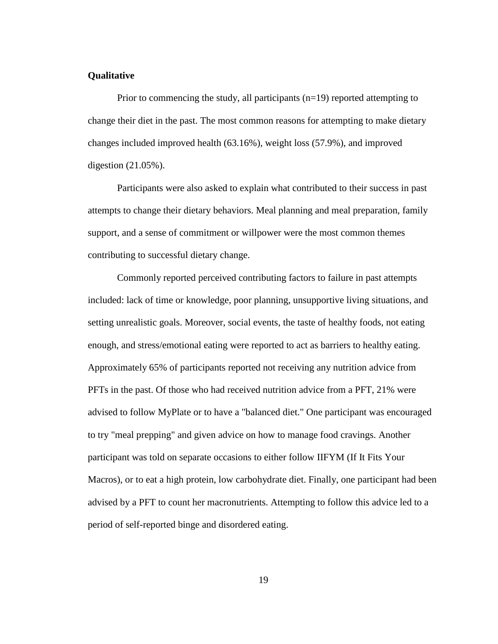#### **Qualitative**

Prior to commencing the study, all participants (n=19) reported attempting to change their diet in the past. The most common reasons for attempting to make dietary changes included improved health (63.16%), weight loss (57.9%), and improved digestion (21.05%).

Participants were also asked to explain what contributed to their success in past attempts to change their dietary behaviors. Meal planning and meal preparation, family support, and a sense of commitment or willpower were the most common themes contributing to successful dietary change.

Commonly reported perceived contributing factors to failure in past attempts included: lack of time or knowledge, poor planning, unsupportive living situations, and setting unrealistic goals. Moreover, social events, the taste of healthy foods, not eating enough, and stress/emotional eating were reported to act as barriers to healthy eating. Approximately 65% of participants reported not receiving any nutrition advice from PFTs in the past. Of those who had received nutrition advice from a PFT, 21% were advised to follow MyPlate or to have a "balanced diet." One participant was encouraged to try "meal prepping" and given advice on how to manage food cravings. Another participant was told on separate occasions to either follow IIFYM (If It Fits Your Macros), or to eat a high protein, low carbohydrate diet. Finally, one participant had been advised by a PFT to count her macronutrients. Attempting to follow this advice led to a period of self-reported binge and disordered eating.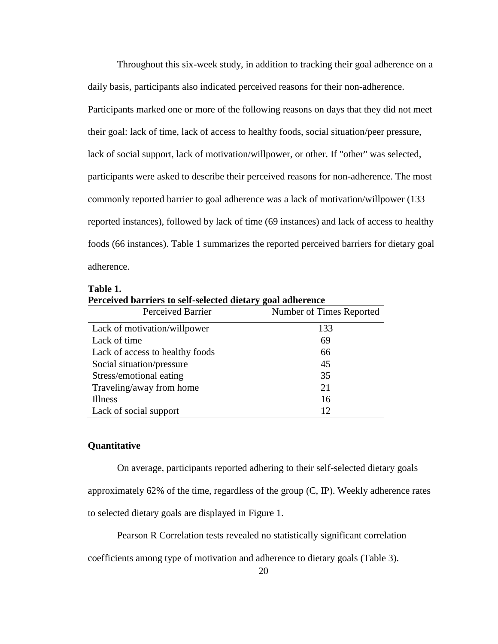Throughout this six-week study, in addition to tracking their goal adherence on a daily basis, participants also indicated perceived reasons for their non-adherence. Participants marked one or more of the following reasons on days that they did not meet their goal: lack of time, lack of access to healthy foods, social situation/peer pressure, lack of social support, lack of motivation/willpower, or other. If "other" was selected, participants were asked to describe their perceived reasons for non-adherence. The most commonly reported barrier to goal adherence was a lack of motivation/willpower (133 reported instances), followed by lack of time (69 instances) and lack of access to healthy foods (66 instances). Table 1 summarizes the reported perceived barriers for dietary goal adherence.

| rerceived barriers to sen-selected dietary goal adderence |                          |  |  |  |
|-----------------------------------------------------------|--------------------------|--|--|--|
| Perceived Barrier                                         | Number of Times Reported |  |  |  |
| Lack of motivation/willpower                              | 133                      |  |  |  |
| Lack of time                                              | 69                       |  |  |  |
| Lack of access to healthy foods                           | 66                       |  |  |  |
| Social situation/pressure                                 | 45                       |  |  |  |
| Stress/emotional eating                                   | 35                       |  |  |  |
| Traveling/away from home                                  | 21                       |  |  |  |
| <b>Illness</b>                                            | 16                       |  |  |  |
| Lack of social support                                    | 12                       |  |  |  |

**Table 1. Perceived barriers to self-selected dietary goal adherence**

#### **Quantitative**

On average, participants reported adhering to their self-selected dietary goals approximately 62% of the time, regardless of the group (C, IP). Weekly adherence rates to selected dietary goals are displayed in Figure 1.

Pearson R Correlation tests revealed no statistically significant correlation

coefficients among type of motivation and adherence to dietary goals (Table 3).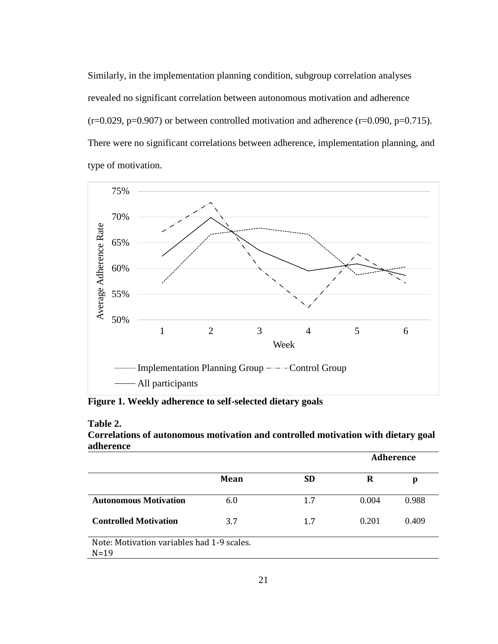Similarly, in the implementation planning condition, subgroup correlation analyses revealed no significant correlation between autonomous motivation and adherence  $(r=0.029, p=0.907)$  or between controlled motivation and adherence  $(r=0.090, p=0.715)$ . There were no significant correlations between adherence, implementation planning, and type of motivation.



**Figure 1. Weekly adherence to self-selected dietary goals**

| Table 2.                                                                          |
|-----------------------------------------------------------------------------------|
| Correlations of autonomous motivation and controlled motivation with dietary goal |
| adherence                                                                         |

|                                                        |      |           | <b>Adherence</b> |       |
|--------------------------------------------------------|------|-----------|------------------|-------|
|                                                        | Mean | <b>SD</b> | R                | p     |
| <b>Autonomous Motivation</b>                           | 6.0  | 1.7       | 0.004            | 0.988 |
| <b>Controlled Motivation</b>                           | 3.7  | 1.7       | 0.201            | 0.409 |
| Note: Motivation variables had 1-9 scales.<br>$N = 19$ |      |           |                  |       |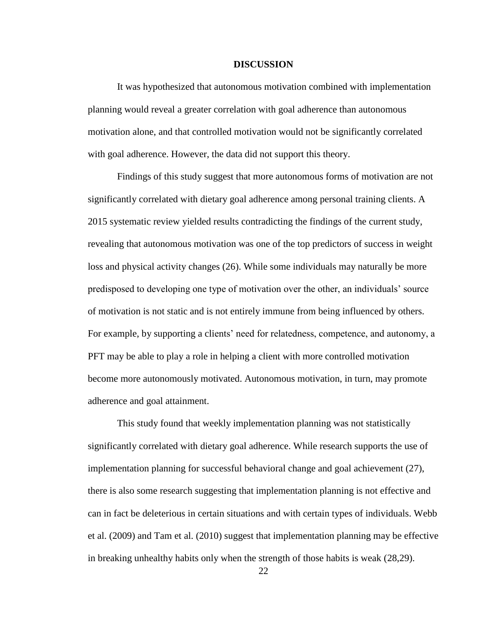### **DISCUSSION**

It was hypothesized that autonomous motivation combined with implementation planning would reveal a greater correlation with goal adherence than autonomous motivation alone, and that controlled motivation would not be significantly correlated with goal adherence. However, the data did not support this theory.

Findings of this study suggest that more autonomous forms of motivation are not significantly correlated with dietary goal adherence among personal training clients. A 2015 systematic review yielded results contradicting the findings of the current study, revealing that autonomous motivation was one of the top predictors of success in weight loss and physical activity changes (26). While some individuals may naturally be more predisposed to developing one type of motivation over the other, an individuals' source of motivation is not static and is not entirely immune from being influenced by others. For example, by supporting a clients' need for relatedness, competence, and autonomy, a PFT may be able to play a role in helping a client with more controlled motivation become more autonomously motivated. Autonomous motivation, in turn, may promote adherence and goal attainment.

This study found that weekly implementation planning was not statistically significantly correlated with dietary goal adherence. While research supports the use of implementation planning for successful behavioral change and goal achievement (27), there is also some research suggesting that implementation planning is not effective and can in fact be deleterious in certain situations and with certain types of individuals. Webb et al. (2009) and Tam et al. (2010) suggest that implementation planning may be effective in breaking unhealthy habits only when the strength of those habits is weak (28,29).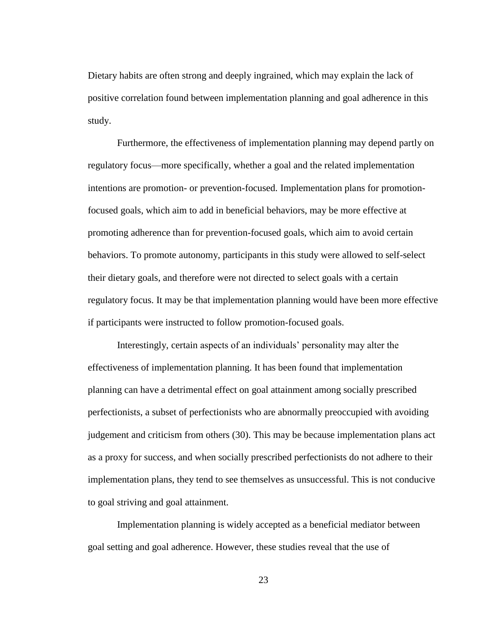Dietary habits are often strong and deeply ingrained, which may explain the lack of positive correlation found between implementation planning and goal adherence in this study.

Furthermore, the effectiveness of implementation planning may depend partly on regulatory focus—more specifically, whether a goal and the related implementation intentions are promotion- or prevention-focused. Implementation plans for promotionfocused goals, which aim to add in beneficial behaviors, may be more effective at promoting adherence than for prevention-focused goals, which aim to avoid certain behaviors. To promote autonomy, participants in this study were allowed to self-select their dietary goals, and therefore were not directed to select goals with a certain regulatory focus. It may be that implementation planning would have been more effective if participants were instructed to follow promotion-focused goals.

Interestingly, certain aspects of an individuals' personality may alter the effectiveness of implementation planning. It has been found that implementation planning can have a detrimental effect on goal attainment among socially prescribed perfectionists, a subset of perfectionists who are abnormally preoccupied with avoiding judgement and criticism from others (30). This may be because implementation plans act as a proxy for success, and when socially prescribed perfectionists do not adhere to their implementation plans, they tend to see themselves as unsuccessful. This is not conducive to goal striving and goal attainment.

Implementation planning is widely accepted as a beneficial mediator between goal setting and goal adherence. However, these studies reveal that the use of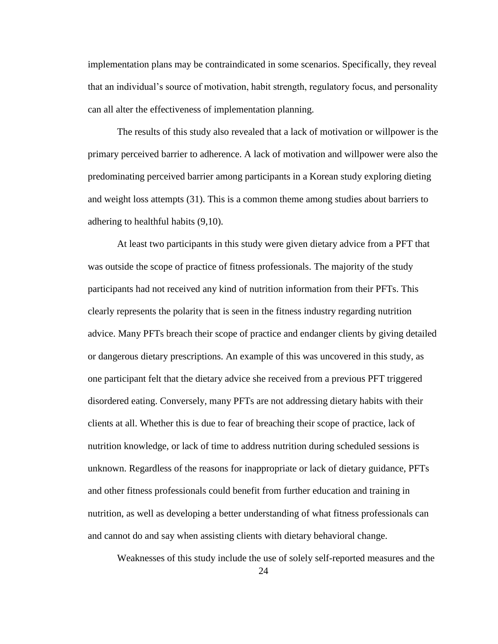implementation plans may be contraindicated in some scenarios. Specifically, they reveal that an individual's source of motivation, habit strength, regulatory focus, and personality can all alter the effectiveness of implementation planning.

The results of this study also revealed that a lack of motivation or willpower is the primary perceived barrier to adherence. A lack of motivation and willpower were also the predominating perceived barrier among participants in a Korean study exploring dieting and weight loss attempts (31). This is a common theme among studies about barriers to adhering to healthful habits (9,10).

At least two participants in this study were given dietary advice from a PFT that was outside the scope of practice of fitness professionals. The majority of the study participants had not received any kind of nutrition information from their PFTs. This clearly represents the polarity that is seen in the fitness industry regarding nutrition advice. Many PFTs breach their scope of practice and endanger clients by giving detailed or dangerous dietary prescriptions. An example of this was uncovered in this study, as one participant felt that the dietary advice she received from a previous PFT triggered disordered eating. Conversely, many PFTs are not addressing dietary habits with their clients at all. Whether this is due to fear of breaching their scope of practice, lack of nutrition knowledge, or lack of time to address nutrition during scheduled sessions is unknown. Regardless of the reasons for inappropriate or lack of dietary guidance, PFTs and other fitness professionals could benefit from further education and training in nutrition, as well as developing a better understanding of what fitness professionals can and cannot do and say when assisting clients with dietary behavioral change.

Weaknesses of this study include the use of solely self-reported measures and the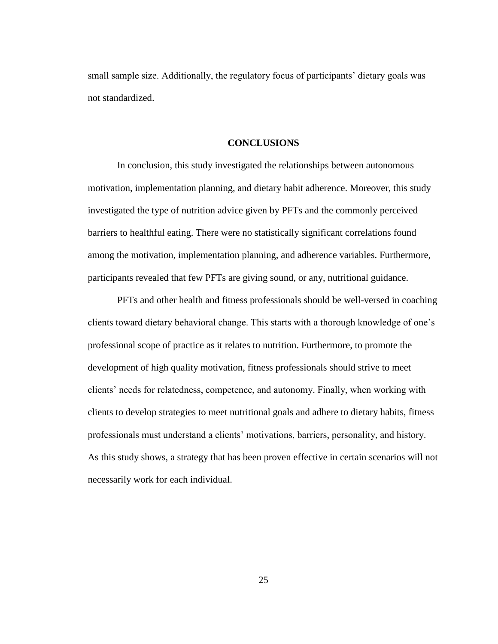small sample size. Additionally, the regulatory focus of participants' dietary goals was not standardized.

## **CONCLUSIONS**

In conclusion, this study investigated the relationships between autonomous motivation, implementation planning, and dietary habit adherence. Moreover, this study investigated the type of nutrition advice given by PFTs and the commonly perceived barriers to healthful eating. There were no statistically significant correlations found among the motivation, implementation planning, and adherence variables. Furthermore, participants revealed that few PFTs are giving sound, or any, nutritional guidance.

PFTs and other health and fitness professionals should be well-versed in coaching clients toward dietary behavioral change. This starts with a thorough knowledge of one's professional scope of practice as it relates to nutrition. Furthermore, to promote the development of high quality motivation, fitness professionals should strive to meet clients' needs for relatedness, competence, and autonomy. Finally, when working with clients to develop strategies to meet nutritional goals and adhere to dietary habits, fitness professionals must understand a clients' motivations, barriers, personality, and history. As this study shows, a strategy that has been proven effective in certain scenarios will not necessarily work for each individual.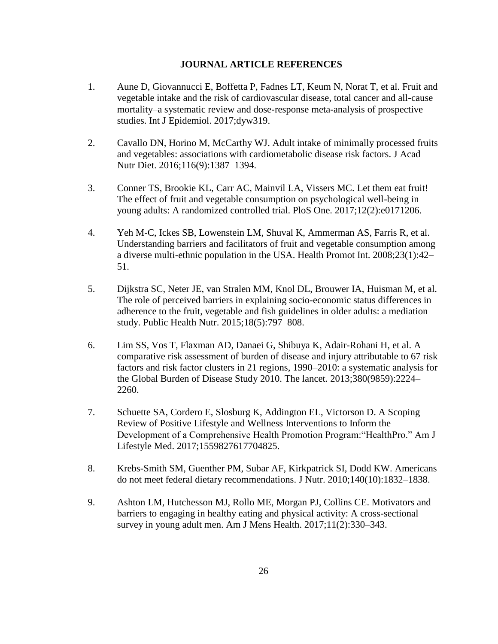## **JOURNAL ARTICLE REFERENCES**

- 1. Aune D, Giovannucci E, Boffetta P, Fadnes LT, Keum N, Norat T, et al. Fruit and vegetable intake and the risk of cardiovascular disease, total cancer and all-cause mortality–a systematic review and dose-response meta-analysis of prospective studies. Int J Epidemiol. 2017;dyw319.
- 2. Cavallo DN, Horino M, McCarthy WJ. Adult intake of minimally processed fruits and vegetables: associations with cardiometabolic disease risk factors. J Acad Nutr Diet. 2016;116(9):1387–1394.
- 3. Conner TS, Brookie KL, Carr AC, Mainvil LA, Vissers MC. Let them eat fruit! The effect of fruit and vegetable consumption on psychological well-being in young adults: A randomized controlled trial. PloS One. 2017;12(2):e0171206.
- 4. Yeh M-C, Ickes SB, Lowenstein LM, Shuval K, Ammerman AS, Farris R, et al. Understanding barriers and facilitators of fruit and vegetable consumption among a diverse multi-ethnic population in the USA. Health Promot Int. 2008;23(1):42– 51.
- 5. Dijkstra SC, Neter JE, van Stralen MM, Knol DL, Brouwer IA, Huisman M, et al. The role of perceived barriers in explaining socio-economic status differences in adherence to the fruit, vegetable and fish guidelines in older adults: a mediation study. Public Health Nutr. 2015;18(5):797–808.
- 6. Lim SS, Vos T, Flaxman AD, Danaei G, Shibuya K, Adair-Rohani H, et al. A comparative risk assessment of burden of disease and injury attributable to 67 risk factors and risk factor clusters in 21 regions, 1990–2010: a systematic analysis for the Global Burden of Disease Study 2010. The lancet. 2013;380(9859):2224– 2260.
- 7. Schuette SA, Cordero E, Slosburg K, Addington EL, Victorson D. A Scoping Review of Positive Lifestyle and Wellness Interventions to Inform the Development of a Comprehensive Health Promotion Program:"HealthPro." Am J Lifestyle Med. 2017;1559827617704825.
- 8. Krebs-Smith SM, Guenther PM, Subar AF, Kirkpatrick SI, Dodd KW. Americans do not meet federal dietary recommendations. J Nutr. 2010;140(10):1832–1838.
- 9. Ashton LM, Hutchesson MJ, Rollo ME, Morgan PJ, Collins CE. Motivators and barriers to engaging in healthy eating and physical activity: A cross-sectional survey in young adult men. Am J Mens Health. 2017;11(2):330–343.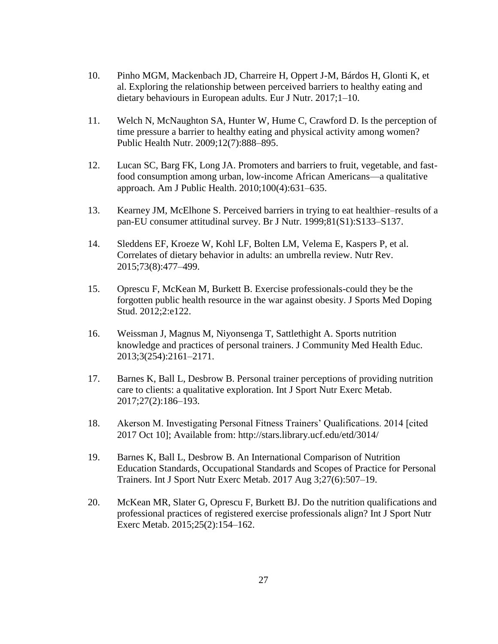- 10. Pinho MGM, Mackenbach JD, Charreire H, Oppert J-M, Bárdos H, Glonti K, et al. Exploring the relationship between perceived barriers to healthy eating and dietary behaviours in European adults. Eur J Nutr. 2017;1–10.
- 11. Welch N, McNaughton SA, Hunter W, Hume C, Crawford D. Is the perception of time pressure a barrier to healthy eating and physical activity among women? Public Health Nutr. 2009;12(7):888–895.
- 12. Lucan SC, Barg FK, Long JA. Promoters and barriers to fruit, vegetable, and fastfood consumption among urban, low-income African Americans—a qualitative approach. Am J Public Health. 2010;100(4):631–635.
- 13. Kearney JM, McElhone S. Perceived barriers in trying to eat healthier–results of a pan-EU consumer attitudinal survey. Br J Nutr. 1999;81(S1):S133–S137.
- 14. Sleddens EF, Kroeze W, Kohl LF, Bolten LM, Velema E, Kaspers P, et al. Correlates of dietary behavior in adults: an umbrella review. Nutr Rev. 2015;73(8):477–499.
- 15. Oprescu F, McKean M, Burkett B. Exercise professionals-could they be the forgotten public health resource in the war against obesity. J Sports Med Doping Stud. 2012;2:e122.
- 16. Weissman J, Magnus M, Niyonsenga T, Sattlethight A. Sports nutrition knowledge and practices of personal trainers. J Community Med Health Educ. 2013;3(254):2161–2171.
- 17. Barnes K, Ball L, Desbrow B. Personal trainer perceptions of providing nutrition care to clients: a qualitative exploration. Int J Sport Nutr Exerc Metab. 2017;27(2):186–193.
- 18. Akerson M. Investigating Personal Fitness Trainers' Qualifications. 2014 [cited 2017 Oct 10]; Available from: http://stars.library.ucf.edu/etd/3014/
- 19. Barnes K, Ball L, Desbrow B. An International Comparison of Nutrition Education Standards, Occupational Standards and Scopes of Practice for Personal Trainers. Int J Sport Nutr Exerc Metab. 2017 Aug 3;27(6):507–19.
- 20. McKean MR, Slater G, Oprescu F, Burkett BJ. Do the nutrition qualifications and professional practices of registered exercise professionals align? Int J Sport Nutr Exerc Metab. 2015;25(2):154–162.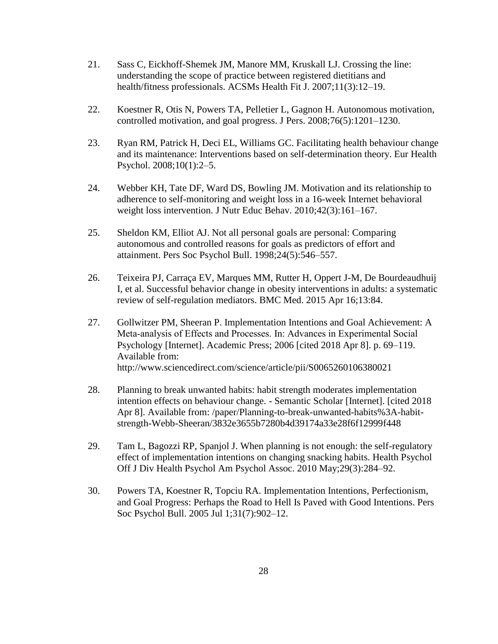- 21. Sass C, Eickhoff-Shemek JM, Manore MM, Kruskall LJ. Crossing the line: understanding the scope of practice between registered dietitians and health/fitness professionals. ACSMs Health Fit J. 2007;11(3):12–19.
- 22. Koestner R, Otis N, Powers TA, Pelletier L, Gagnon H. Autonomous motivation, controlled motivation, and goal progress. J Pers. 2008;76(5):1201–1230.
- 23. Ryan RM, Patrick H, Deci EL, Williams GC. Facilitating health behaviour change and its maintenance: Interventions based on self-determination theory. Eur Health Psychol. 2008;10(1):2–5.
- 24. Webber KH, Tate DF, Ward DS, Bowling JM. Motivation and its relationship to adherence to self-monitoring and weight loss in a 16-week Internet behavioral weight loss intervention. J Nutr Educ Behav. 2010;42(3):161–167.
- 25. Sheldon KM, Elliot AJ. Not all personal goals are personal: Comparing autonomous and controlled reasons for goals as predictors of effort and attainment. Pers Soc Psychol Bull. 1998;24(5):546–557.
- 26. Teixeira PJ, Carraça EV, Marques MM, Rutter H, Oppert J-M, De Bourdeaudhuij I, et al. Successful behavior change in obesity interventions in adults: a systematic review of self-regulation mediators. BMC Med. 2015 Apr 16;13:84.
- 27. Gollwitzer PM, Sheeran P. Implementation Intentions and Goal Achievement: A Meta‐analysis of Effects and Processes. In: Advances in Experimental Social Psychology [Internet]. Academic Press; 2006 [cited 2018 Apr 8]. p. 69–119. Available from: http://www.sciencedirect.com/science/article/pii/S0065260106380021
- 28. Planning to break unwanted habits: habit strength moderates implementation intention effects on behaviour change. - Semantic Scholar [Internet]. [cited 2018 Apr 8]. Available from: /paper/Planning-to-break-unwanted-habits%3A-habitstrength-Webb-Sheeran/3832e3655b7280b4d39174a33e28f6f12999f448
- 29. Tam L, Bagozzi RP, Spanjol J. When planning is not enough: the self-regulatory effect of implementation intentions on changing snacking habits. Health Psychol Off J Div Health Psychol Am Psychol Assoc. 2010 May;29(3):284–92.
- 30. Powers TA, Koestner R, Topciu RA. Implementation Intentions, Perfectionism, and Goal Progress: Perhaps the Road to Hell Is Paved with Good Intentions. Pers Soc Psychol Bull. 2005 Jul 1;31(7):902–12.